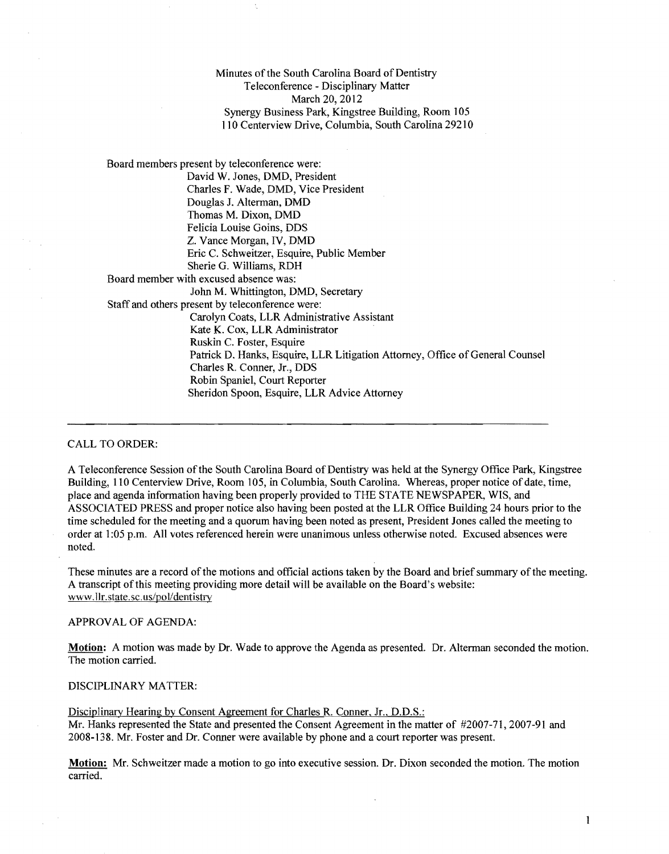Minutes of the South Carolina Board of Dentistry Teleconference - Disciplinary Matter March 20, 2012 Synergy Business Park, Kingstree Building, Room 105 110 Centerview Drive, Columbia, South Carolina 29210

Board members present by teleconference were: David W. Jones, DMD, President Charles F. Wade, DMD, Vice President Douglas J. Alterman, DMD Thomas M. Dixon, DMD Felicia Louise Goins, DDS Z. Vance Morgan, IV, DMD Eric C. Schweitzer, Esquire, Public Member Sherie G. Williams, RDH Board member with excused absence was: John M. Whittington, DMD, Secretary Staff and others present by teleconference were: Carolyn Coats, LLR Administrative Assistant Kate K. Cox, LLR Administrator Ruskin C. Foster, Esquire Patrick D. Hanks, Esquire, LLR Litigation Attorney, Office of General Counsel Charles R. Conner, Jr., DDS Robin Spaniel, Court Reporter Sheridon Spoon, Esquire, LLR Advice Attorney

## CALL TO ORDER:

A Teleconference Session of the South Carolina Board of Dentistry was held at the Synergy Office Park, Kingstree Building, 110 Centerview Drive, Room 105, in Columbia, South Carolina. Whereas, proper notice of date, time, place and agenda information having been properly provided to THE STATE NEWSPAPER, WIS, and ASSOCIATED PRESS and proper notice also having been posted at the LLR Office Building 24 hours prior to the time scheduled for the meeting and a quorum having been noted as present, President Jones called the meeting to order at 1 :05 p.m. All votes referenced herein were unanimous unless otherwise noted. Excused absences were noted.

These minutes are a record of the motions and official actions taken by the Board and brief summary of the meeting. A transcript ofthis meeting providing more detail will be available on the Board's website: www.llr.state.sc.us/pol/dentistry

## APPROVAL OF AGENDA:

**Motion:** A motion was made by Dr. Wade to approve the Agenda as presented. Dr. Alterman seconded the motion. The motion carried.

## DISCIPLINARY MATTER:

Disciplinary Hearing by Consent Agreement for Charles R. Conner, Jr., D.D.S.: Mr. Hanks represented the State and presented the Consent Agreement in the matter of #2007-71,2007-91 and 2008-138. Mr. Foster and Dr. Conner were available by phone and a court reporter was present.

Motion: Mr. Schweitzer made a motion to go into executive session. Dr. Dixon seconded the motion. The motion carried.

1